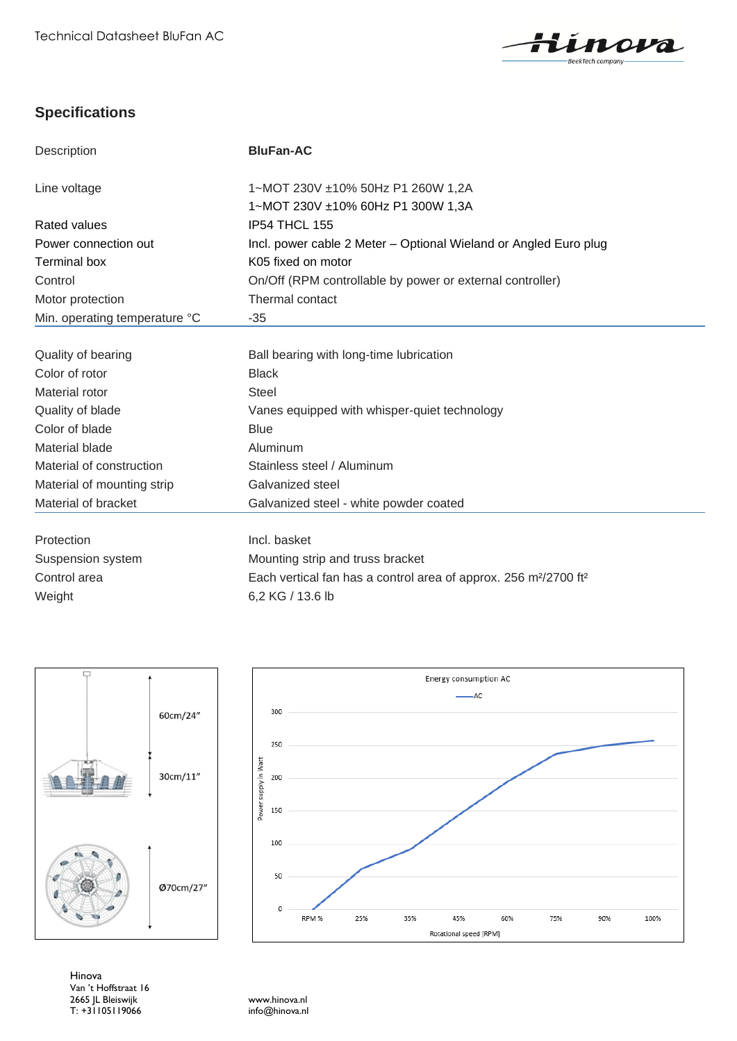

## **Specifications**

| Description                   | <b>BluFan-AC</b>                                                                         |
|-------------------------------|------------------------------------------------------------------------------------------|
|                               |                                                                                          |
| Line voltage                  | 1~MOT 230V ±10% 50Hz P1 260W 1,2A                                                        |
|                               | 1~MOT 230V ±10% 60Hz P1 300W 1,3A                                                        |
| <b>Rated values</b>           | IP54 THCL 155                                                                            |
| Power connection out          | Incl. power cable 2 Meter - Optional Wieland or Angled Euro plug                         |
| <b>Terminal box</b>           | K05 fixed on motor                                                                       |
| Control                       | On/Off (RPM controllable by power or external controller)                                |
| Motor protection              | Thermal contact                                                                          |
| Min. operating temperature °C | $-35$                                                                                    |
|                               |                                                                                          |
| Quality of bearing            | Ball bearing with long-time lubrication                                                  |
| Color of rotor                | <b>Black</b>                                                                             |
| Material rotor                | <b>Steel</b>                                                                             |
| Quality of blade              | Vanes equipped with whisper-quiet technology                                             |
| Color of blade                | <b>Blue</b>                                                                              |
| Material blade                | Aluminum                                                                                 |
| Material of construction      | Stainless steel / Aluminum                                                               |
| Material of mounting strip    | Galvanized steel                                                                         |
| Material of bracket           | Galvanized steel - white powder coated                                                   |
| Protection                    | Incl. basket                                                                             |
| Suspension system             | Mounting strip and truss bracket                                                         |
| Control area                  | Each vertical fan has a control area of approx. 256 m <sup>2</sup> /2700 ft <sup>2</sup> |
| Weight                        | 6,2 KG / 13.6 lb                                                                         |
|                               |                                                                                          |



Hinova Van 't Hoffstraat 16 2665 JL Bleiswijk www.hinova.nl T: +31105119066 info@hinova.nl